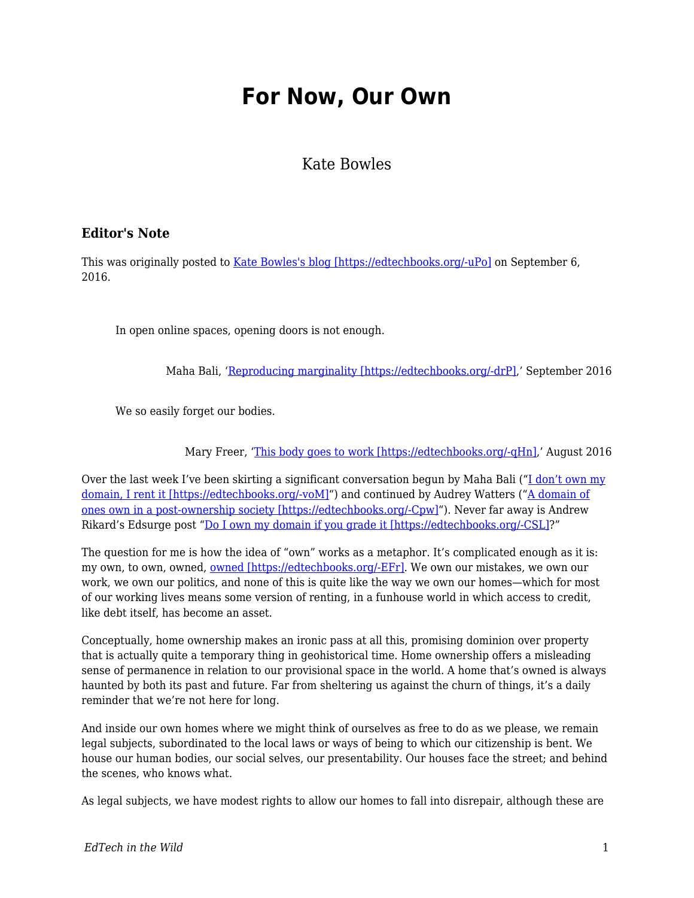## **For Now, Our Own**

## Kate Bowles

## **Editor's Note**

This was originally posted to [Kate Bowles's blog \[https://edtechbooks.org/-uPo\]](http://musicfordeckchairs.com/blog/2016/09/06/for-now-our-own/) on September 6, 2016.

In open online spaces, opening doors is not enough.

Maha Bali, ['Reproducing marginality \[https://edtechbooks.org/-drP\],](http://blog.mahabali.me/blog/pedagogy/critical-pedagogy/reproducing-marginality/)' September 2016

We so easily forget our bodies.

Mary Freer, ['This body goes to work \[https://edtechbooks.org/-qHn\],](http://freerthinking.com.au/this-body-goes-to-work/)' August 2016

Over the last week I've been skirting a significant conversation begun by Maha Bali (["I don't own my](http://blog.mahabali.me/blog/educational-technology-2/i-dont-own-my-domain-i-rent-it-dooo/#comment-49494) [domain, I rent it \[https://edtechbooks.org/-voM\]](http://blog.mahabali.me/blog/educational-technology-2/i-dont-own-my-domain-i-rent-it-dooo/#comment-49494)") and continued by Audrey Watters ("[A domain of](http://hackeducation.com/2016/08/23/domains) [ones own in a post-ownership society \[https://edtechbooks.org/-Cpw\]](http://hackeducation.com/2016/08/23/domains)"). Never far away is Andrew Rikard's Edsurge post "[Do I own my domain if you grade it \[https://edtechbooks.org/-CSL\]?](https://www.edsurge.com/news/2015-08-10-do-i-own-my-domain-if-you-grade-it)"

The question for me is how the idea of "own" works as a metaphor. It's complicated enough as it is: my own, to own, owned, [owned \[https://edtechbooks.org/-EFr\].](http://www.urbandictionary.com/define.php?term=pwned) We own our mistakes, we own our work, we own our politics, and none of this is quite like the way we own our homes—which for most of our working lives means some version of renting, in a funhouse world in which access to credit, like debt itself, has become an asset.

Conceptually, home ownership makes an ironic pass at all this, promising dominion over property that is actually quite a temporary thing in geohistorical time. Home ownership offers a misleading sense of permanence in relation to our provisional space in the world. A home that's owned is always haunted by both its past and future. Far from sheltering us against the churn of things, it's a daily reminder that we're not here for long.

And inside our own homes where we might think of ourselves as free to do as we please, we remain legal subjects, subordinated to the local laws or ways of being to which our citizenship is bent. We house our human bodies, our social selves, our presentability. Our houses face the street; and behind the scenes, who knows what.

As legal subjects, we have modest rights to allow our homes to fall into disrepair, although these are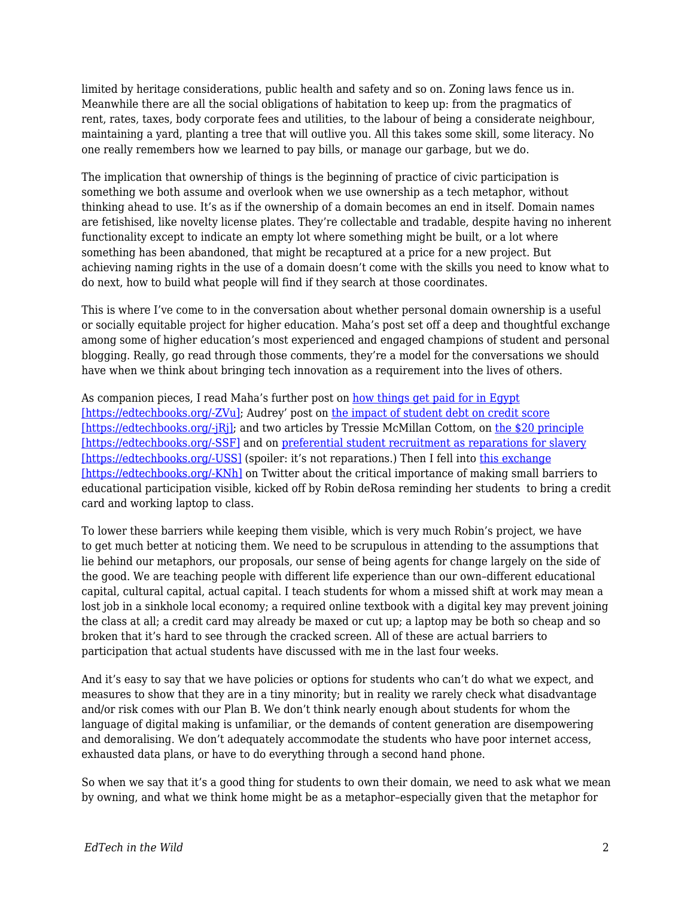limited by heritage considerations, public health and safety and so on. Zoning laws fence us in. Meanwhile there are all the social obligations of habitation to keep up: from the pragmatics of rent, rates, taxes, body corporate fees and utilities, to the labour of being a considerate neighbour, maintaining a yard, planting a tree that will outlive you. All this takes some skill, some literacy. No one really remembers how we learned to pay bills, or manage our garbage, but we do.

The implication that ownership of things is the beginning of practice of civic participation is something we both assume and overlook when we use ownership as a tech metaphor, without thinking ahead to use. It's as if the ownership of a domain becomes an end in itself. Domain names are fetishised, like novelty license plates. They're collectable and tradable, despite having no inherent functionality except to indicate an empty lot where something might be built, or a lot where something has been abandoned, that might be recaptured at a price for a new project. But achieving naming rights in the use of a domain doesn't come with the skills you need to know what to do next, how to build what people will find if they search at those coordinates.

This is where I've come to in the conversation about whether personal domain ownership is a useful or socially equitable project for higher education. Maha's post set off a deep and thoughtful exchange among some of higher education's most experienced and engaged champions of student and personal blogging. Really, go read through those comments, they're a model for the conversations we should have when we think about bringing tech innovation as a requirement into the lives of others.

As companion pieces, I read Maha's further post on [how things get paid for in Egypt](http://blog.mahabali.me/blog/just-for-fun/how-the-money-flows-or-not/) [\[https://edtechbooks.org/-ZVu\];](http://blog.mahabali.me/blog/just-for-fun/how-the-money-flows-or-not/) Audrey' post on [the impact of student debt on credit score](http://audreywatters.com/2016/09/04/credit-score) [\[https://edtechbooks.org/-jRj\];](http://audreywatters.com/2016/09/04/credit-score) and two articles by Tressie McMillan Cottom, on [the \\$20 principle](https://tressiemc.com/2016/08/30/the-20-principle/) [\[https://edtechbooks.org/-SSF\]](https://tressiemc.com/2016/08/30/the-20-principle/) and on [preferential student recruitment as reparations for slavery](http://www.vox.com/2016/9/2/12773110/georgetown-slavery-admission-reparations) [\[https://edtechbooks.org/-USS\]](http://www.vox.com/2016/9/2/12773110/georgetown-slavery-admission-reparations) (spoiler: it's not reparations.) Then I fell into [this exchange](https://twitter.com/KateMfD/status/772955899384037377) [\[https://edtechbooks.org/-KNh\]](https://twitter.com/KateMfD/status/772955899384037377) on Twitter about the critical importance of making small barriers to educational participation visible, kicked off by Robin deRosa reminding her students to bring a credit card and working laptop to class.

To lower these barriers while keeping them visible, which is very much Robin's project, we have to get much better at noticing them. We need to be scrupulous in attending to the assumptions that lie behind our metaphors, our proposals, our sense of being agents for change largely on the side of the good. We are teaching people with different life experience than our own–different educational capital, cultural capital, actual capital. I teach students for whom a missed shift at work may mean a lost job in a sinkhole local economy; a required online textbook with a digital key may prevent joining the class at all; a credit card may already be maxed or cut up; a laptop may be both so cheap and so broken that it's hard to see through the cracked screen. All of these are actual barriers to participation that actual students have discussed with me in the last four weeks.

And it's easy to say that we have policies or options for students who can't do what we expect, and measures to show that they are in a tiny minority; but in reality we rarely check what disadvantage and/or risk comes with our Plan B. We don't think nearly enough about students for whom the language of digital making is unfamiliar, or the demands of content generation are disempowering and demoralising. We don't adequately accommodate the students who have poor internet access, exhausted data plans, or have to do everything through a second hand phone.

So when we say that it's a good thing for students to own their domain, we need to ask what we mean by owning, and what we think home might be as a metaphor–especially given that the metaphor for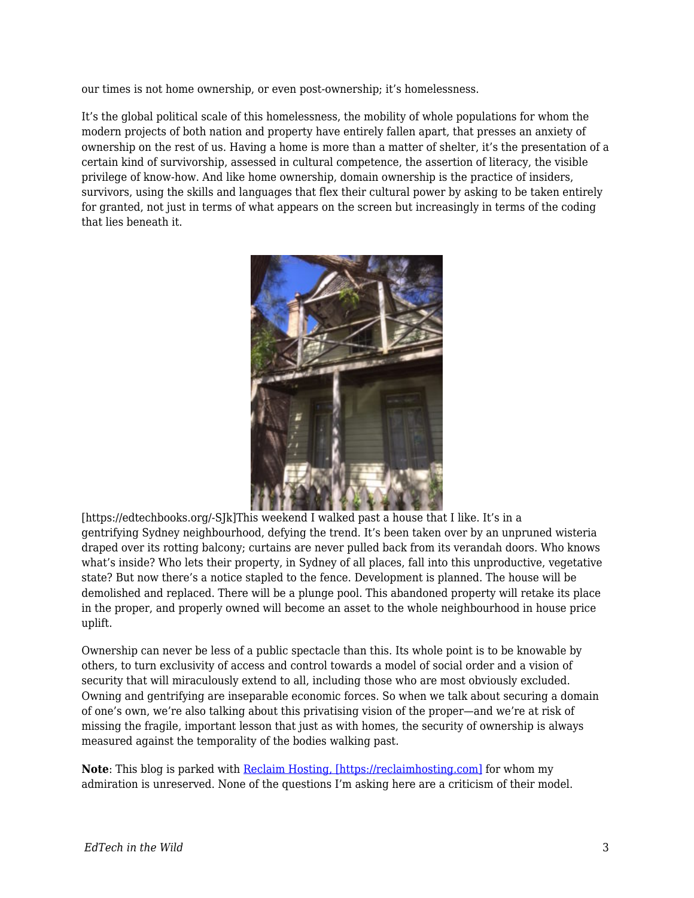our times is not home ownership, or even post-ownership; it's homelessness.

It's the global political scale of this homelessness, the mobility of whole populations for whom the modern projects of both nation and property have entirely fallen apart, that presses an anxiety of ownership on the rest of us. Having a home is more than a matter of shelter, it's the presentation of a certain kind of survivorship, assessed in cultural competence, the assertion of literacy, the visible privilege of know-how. And like home ownership, domain ownership is the practice of insiders, survivors, using the skills and languages that flex their cultural power by asking to be taken entirely for granted, not just in terms of what appears on the screen but increasingly in terms of the coding that lies beneath it.



[https://edtechbooks.org/-SJk]This weekend I walked past a house that I like. It's in a gentrifying Sydney neighbourhood, defying the trend. It's been taken over by an unpruned wisteria draped over its rotting balcony; curtains are never pulled back from its verandah doors. Who knows what's inside? Who lets their property, in Sydney of all places, fall into this unproductive, vegetative state? But now there's a notice stapled to the fence. Development is planned. The house will be demolished and replaced. There will be a plunge pool. This abandoned property will retake its place in the proper, and properly owned will become an asset to the whole neighbourhood in house price uplift.

Ownership can never be less of a public spectacle than this. Its whole point is to be knowable by others, to turn exclusivity of access and control towards a model of social order and a vision of security that will miraculously extend to all, including those who are most obviously excluded. Owning and gentrifying are inseparable economic forces. So when we talk about securing a domain of one's own, we're also talking about this privatising vision of the proper—and we're at risk of missing the fragile, important lesson that just as with homes, the security of ownership is always measured against the temporality of the bodies walking past.

**Note**: This blog is parked with [Reclaim Hosting, \[https://reclaimhosting.com\]](https://reclaimhosting.com) for whom my admiration is unreserved. None of the questions I'm asking here are a criticism of their model.